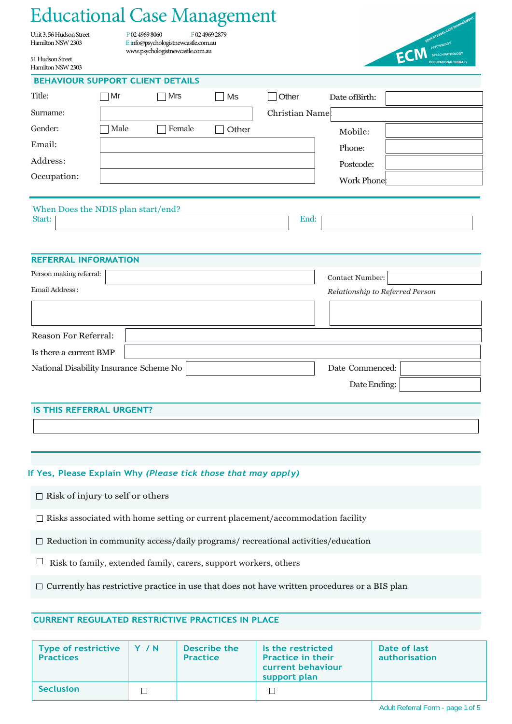# Educational Case Management

Unit 3, 56 Hudson Street P 02 4969 8060 F 02 4969 2879<br>Hamilton NSW 2303 E info@psychologistnewcastle.com.au [E in](mailto:Einfo@psychologistnewcastle.com.au)fo@psychologistnewcastle.com.au [www.psychologistnewcastle.com.au](http://www.psychologistnewcastle.com.au/)



51 Hudson Street Hamilton NSW 2303

#### **BEHAVIOUR SUPPORT CLIENT DETAILS**

| Title:                             | Mr<br>$\mathcal{L}$ | Mrs    | Ms    | <b>Other</b>    | Date of Birth: |  |  |
|------------------------------------|---------------------|--------|-------|-----------------|----------------|--|--|
| Surname:                           |                     |        |       | Christian Name: |                |  |  |
| Gender:                            | Male                | Female | Other |                 | Mobile:        |  |  |
| Email:                             |                     |        |       |                 | Phone:         |  |  |
| Address:                           |                     |        |       |                 | Postcode:      |  |  |
| Occupation:                        |                     |        |       |                 | Work Phone     |  |  |
|                                    |                     |        |       |                 |                |  |  |
| When Does the NDIS plan start/end? |                     |        |       |                 |                |  |  |
| Start:                             |                     |        |       | End:            |                |  |  |

### **REFERRAL INFORMATION**

| Person making referral:                 | Contact Number:                 |
|-----------------------------------------|---------------------------------|
| Email Address :                         | Relationship to Referred Person |
|                                         |                                 |
| <b>Reason For Referral:</b>             |                                 |
| Is there a current BMP                  |                                 |
| National Disability Insurance Scheme No | Date Commenced:                 |
|                                         | Date Ending:                    |
|                                         |                                 |

### **IS THIS REFERRAL URGENT?**

### **If Yes, Please Explain Why** *(Please tick those that may apply)*

 $\Box$  Risk of injury to self or others

 $\Box$  Risks associated with home setting or current placement/accommodation facility

 $\Box$  Reduction in community access/daily programs/ recreational activities/education

 $\Box$  Risk to family, extended family, carers, support workers, others

 $\Box$  Currently has restrictive practice in use that does not have written procedures or a BIS plan

## **CURRENT REGULATED RESTRICTIVE PRACTICES IN PLACE**

| <b>Type of restrictive</b><br><b>Practices</b> | Y / N | Describe the<br><b>Practice</b> | Is the restricted<br><b>Practice in their</b><br>current behaviour<br>support plan | Date of last<br>authorisation |
|------------------------------------------------|-------|---------------------------------|------------------------------------------------------------------------------------|-------------------------------|
| <b>Seclusion</b>                               |       |                                 |                                                                                    |                               |